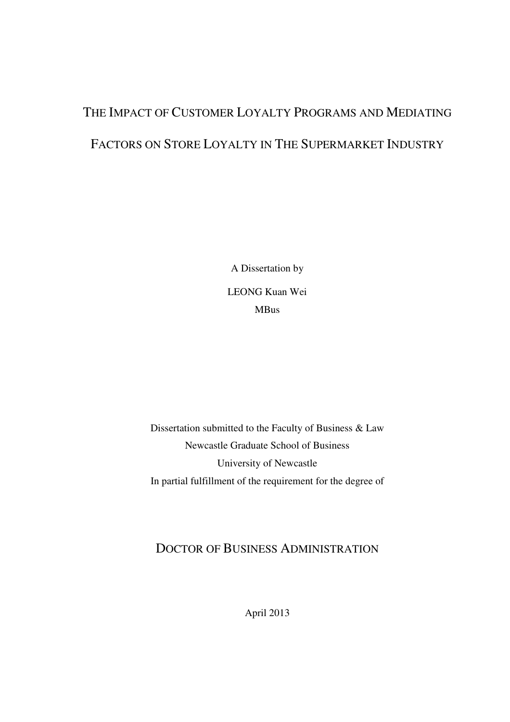# THE IMPACT OF CUSTOMER LOYALTY PROGRAMS AND MEDIATING FACTORS ON STORE LOYALTY IN THE SUPERMARKET INDUSTRY

A Dissertation by LEONG Kuan Wei MBus

Dissertation submitted to the Faculty of Business & Law Newcastle Graduate School of Business University of Newcastle In partial fulfillment of the requirement for the degree of

#### DOCTOR OF BUSINESS ADMINISTRATION

April 2013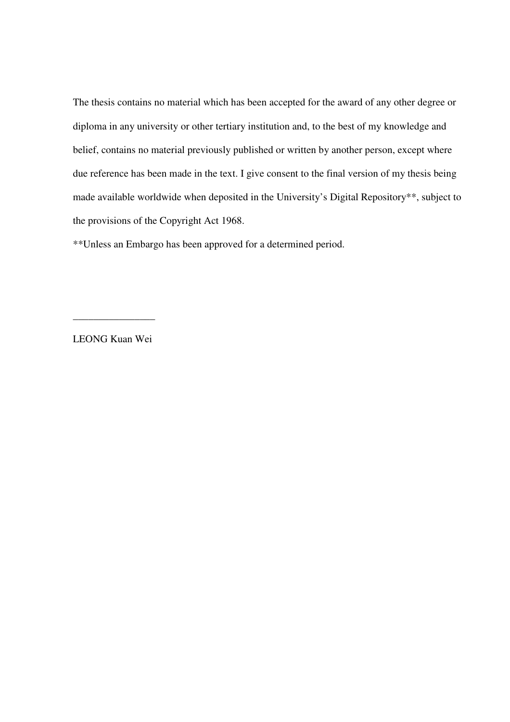The thesis contains no material which has been accepted for the award of any other degree or diploma in any university or other tertiary institution and, to the best of my knowledge and belief, contains no material previously published or written by another person, except where due reference has been made in the text. I give consent to the final version of my thesis being made available worldwide when deposited in the University's Digital Repository\*\*, subject to the provisions of the Copyright Act 1968.

\*\*Unless an Embargo has been approved for a determined period.

LEONG Kuan Wei

\_\_\_\_\_\_\_\_\_\_\_\_\_\_\_\_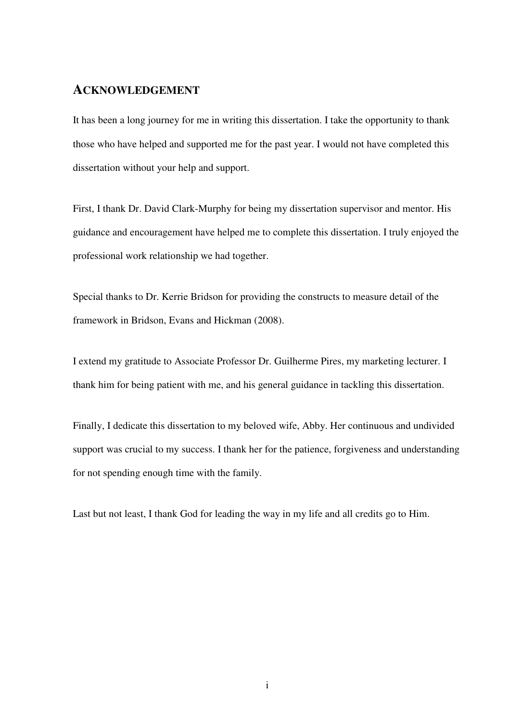#### **ACKNOWLEDGEMENT**

It has been a long journey for me in writing this dissertation. I take the opportunity to thank those who have helped and supported me for the past year. I would not have completed this dissertation without your help and support.

First, I thank Dr. David Clark-Murphy for being my dissertation supervisor and mentor. His guidance and encouragement have helped me to complete this dissertation. I truly enjoyed the professional work relationship we had together.

Special thanks to Dr. Kerrie Bridson for providing the constructs to measure detail of the framework in Bridson, Evans and Hickman (2008).

I extend my gratitude to Associate Professor Dr. Guilherme Pires, my marketing lecturer. I thank him for being patient with me, and his general guidance in tackling this dissertation.

Finally, I dedicate this dissertation to my beloved wife, Abby. Her continuous and undivided support was crucial to my success. I thank her for the patience, forgiveness and understanding for not spending enough time with the family.

Last but not least, I thank God for leading the way in my life and all credits go to Him.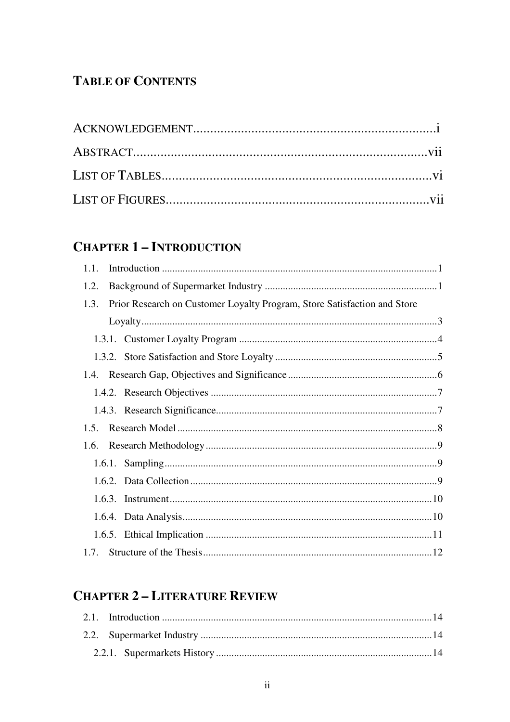### **TABLE OF CONTENTS**

### **CHAPTER 1 - INTRODUCTION**

| 1.1. |                                                                          |
|------|--------------------------------------------------------------------------|
| 1.2. |                                                                          |
| 1.3. | Prior Research on Customer Loyalty Program, Store Satisfaction and Store |
|      |                                                                          |
|      |                                                                          |
|      |                                                                          |
|      |                                                                          |
|      |                                                                          |
|      |                                                                          |
| 1.5. |                                                                          |
| 1.6. |                                                                          |
|      |                                                                          |
|      |                                                                          |
|      |                                                                          |
|      |                                                                          |
|      |                                                                          |
|      |                                                                          |

# **CHAPTER 2 - LITERATURE REVIEW**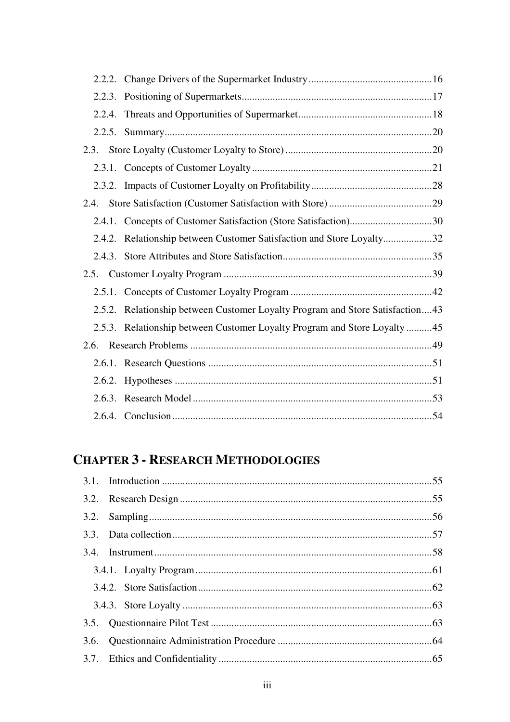| 2.3. |                                                                               |  |
|------|-------------------------------------------------------------------------------|--|
|      |                                                                               |  |
|      |                                                                               |  |
| 2.4. |                                                                               |  |
|      |                                                                               |  |
|      | 2.4.2. Relationship between Customer Satisfaction and Store Loyalty32         |  |
|      |                                                                               |  |
| 2.5. |                                                                               |  |
|      |                                                                               |  |
|      | 2.5.2. Relationship between Customer Loyalty Program and Store Satisfaction43 |  |
|      | 2.5.3. Relationship between Customer Loyalty Program and Store Loyalty 45     |  |
| 2.6. |                                                                               |  |
|      |                                                                               |  |
|      |                                                                               |  |
|      |                                                                               |  |
|      |                                                                               |  |

# **CHAPTER 3 - RESEARCH METHODOLOGIES**

| 3.6. |  |
|------|--|
|      |  |
|      |  |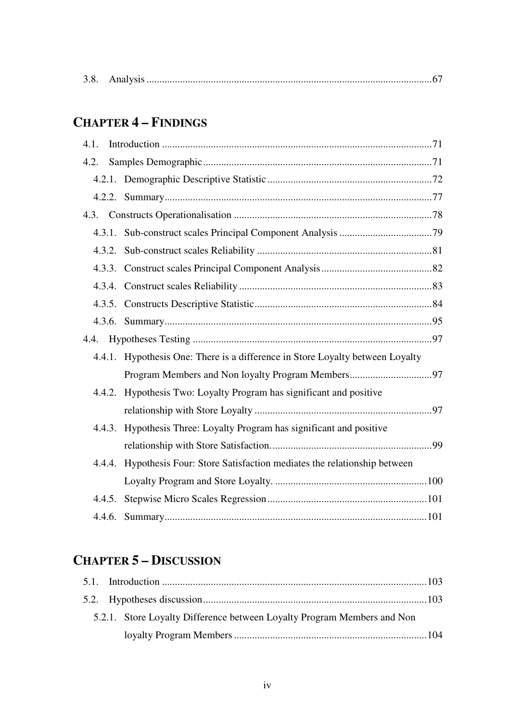| 3.8. |  |  |
|------|--|--|
|------|--|--|

# **CHAPTER 4 - FINDINGS**

| 4.1.   |                                                                               |
|--------|-------------------------------------------------------------------------------|
| 4.2.   |                                                                               |
|        |                                                                               |
|        |                                                                               |
|        |                                                                               |
|        |                                                                               |
| 4.3.2. |                                                                               |
|        |                                                                               |
|        |                                                                               |
|        |                                                                               |
|        |                                                                               |
|        |                                                                               |
|        |                                                                               |
|        | 4.4.1. Hypothesis One: There is a difference in Store Loyalty between Loyalty |
|        |                                                                               |
| 4.4.2. | Hypothesis Two: Loyalty Program has significant and positive                  |
|        |                                                                               |
| 4.4.3. | Hypothesis Three: Loyalty Program has significant and positive                |
|        |                                                                               |
| 4.4.4. | Hypothesis Four: Store Satisfaction mediates the relationship between         |
|        |                                                                               |
| 4.4.5. |                                                                               |

# **CHAPTER 5 - DISCUSSION**

|  | 5.2.1. Store Loyalty Difference between Loyalty Program Members and Non |  |
|--|-------------------------------------------------------------------------|--|
|  |                                                                         |  |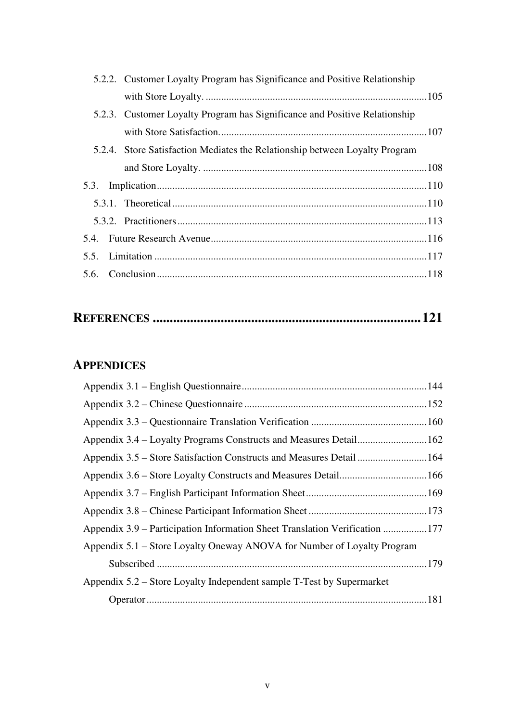| 5.2.2. Customer Loyalty Program has Significance and Positive Relationship  |
|-----------------------------------------------------------------------------|
|                                                                             |
| 5.2.3. Customer Loyalty Program has Significance and Positive Relationship  |
|                                                                             |
| 5.2.4. Store Satisfaction Mediates the Relationship between Loyalty Program |
|                                                                             |
|                                                                             |
|                                                                             |
|                                                                             |
|                                                                             |
|                                                                             |
|                                                                             |

|--|--|--|--|

#### **APPENDICES**

| Appendix 3.5 – Store Satisfaction Constructs and Measures Detail  164       |  |
|-----------------------------------------------------------------------------|--|
|                                                                             |  |
|                                                                             |  |
|                                                                             |  |
| Appendix 3.9 – Participation Information Sheet Translation Verification 177 |  |
| Appendix 5.1 – Store Loyalty Oneway ANOVA for Number of Loyalty Program     |  |
|                                                                             |  |
| Appendix 5.2 – Store Loyalty Independent sample T-Test by Supermarket       |  |
|                                                                             |  |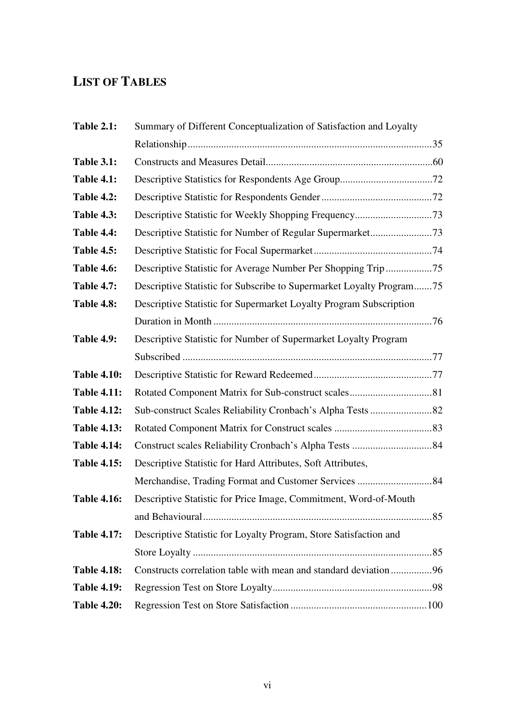### **LIST OF TABLES**

| <b>Table 2.1:</b>  | Summary of Different Conceptualization of Satisfaction and Loyalty   |  |
|--------------------|----------------------------------------------------------------------|--|
|                    |                                                                      |  |
| <b>Table 3.1:</b>  |                                                                      |  |
| <b>Table 4.1:</b>  |                                                                      |  |
| <b>Table 4.2:</b>  |                                                                      |  |
| <b>Table 4.3:</b>  |                                                                      |  |
| Table 4.4:         |                                                                      |  |
| <b>Table 4.5:</b>  |                                                                      |  |
| <b>Table 4.6:</b>  | Descriptive Statistic for Average Number Per Shopping Trip75         |  |
| <b>Table 4.7:</b>  | Descriptive Statistic for Subscribe to Supermarket Loyalty Program75 |  |
| <b>Table 4.8:</b>  | Descriptive Statistic for Supermarket Loyalty Program Subscription   |  |
|                    |                                                                      |  |
| <b>Table 4.9:</b>  | Descriptive Statistic for Number of Supermarket Loyalty Program      |  |
|                    |                                                                      |  |
| <b>Table 4.10:</b> |                                                                      |  |
| <b>Table 4.11:</b> |                                                                      |  |
| <b>Table 4.12:</b> |                                                                      |  |
| <b>Table 4.13:</b> |                                                                      |  |
| <b>Table 4.14:</b> |                                                                      |  |
| <b>Table 4.15:</b> | Descriptive Statistic for Hard Attributes, Soft Attributes,          |  |
|                    |                                                                      |  |
| <b>Table 4.16:</b> | Descriptive Statistic for Price Image, Commitment, Word-of-Mouth     |  |
|                    |                                                                      |  |
| <b>Table 4.17:</b> | Descriptive Statistic for Loyalty Program, Store Satisfaction and    |  |
|                    |                                                                      |  |
| <b>Table 4.18:</b> | Constructs correlation table with mean and standard deviation96      |  |
| <b>Table 4.19:</b> |                                                                      |  |
| <b>Table 4.20:</b> |                                                                      |  |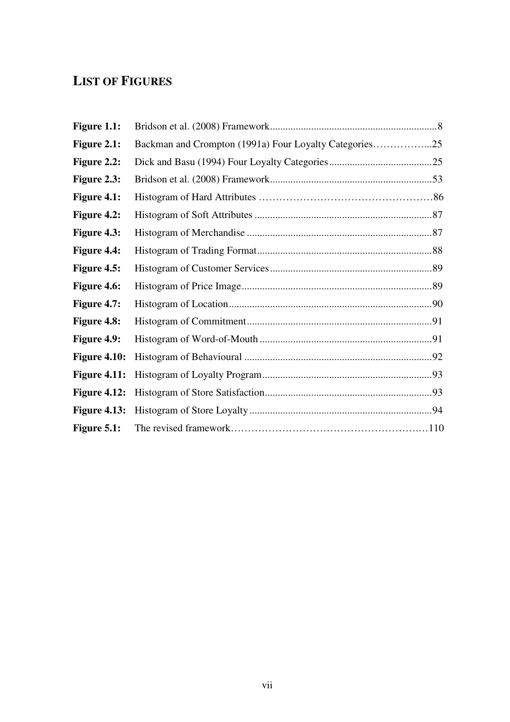### **LIST OF FIGURES**

| Figure 1.1:         |                                                        |  |
|---------------------|--------------------------------------------------------|--|
| Figure 2.1:         | Backman and Crompton (1991a) Four Loyalty Categories25 |  |
| Figure 2.2:         |                                                        |  |
| Figure 2.3:         |                                                        |  |
| Figure 4.1:         |                                                        |  |
| Figure 4.2:         |                                                        |  |
| Figure 4.3:         |                                                        |  |
| <b>Figure 4.4:</b>  |                                                        |  |
| Figure 4.5:         |                                                        |  |
| <b>Figure 4.6:</b>  |                                                        |  |
| <b>Figure 4.7:</b>  |                                                        |  |
| Figure 4.8:         |                                                        |  |
| <b>Figure 4.9:</b>  |                                                        |  |
| <b>Figure 4.10:</b> |                                                        |  |
| <b>Figure 4.11:</b> |                                                        |  |
| <b>Figure 4.12:</b> |                                                        |  |
| <b>Figure 4.13:</b> |                                                        |  |
| Figure $5.1:$       |                                                        |  |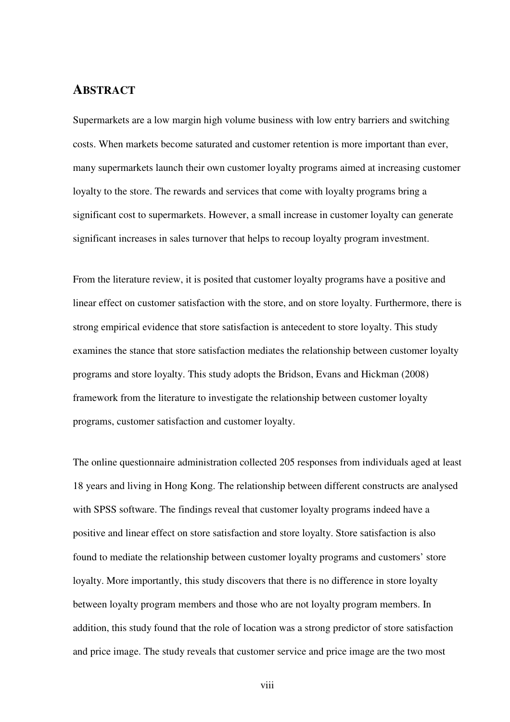#### **ABSTRACT**

Supermarkets are a low margin high volume business with low entry barriers and switching costs. When markets become saturated and customer retention is more important than ever, many supermarkets launch their own customer loyalty programs aimed at increasing customer loyalty to the store. The rewards and services that come with loyalty programs bring a significant cost to supermarkets. However, a small increase in customer loyalty can generate significant increases in sales turnover that helps to recoup loyalty program investment.

From the literature review, it is posited that customer loyalty programs have a positive and linear effect on customer satisfaction with the store, and on store loyalty. Furthermore, there is strong empirical evidence that store satisfaction is antecedent to store loyalty. This study examines the stance that store satisfaction mediates the relationship between customer loyalty programs and store loyalty. This study adopts the Bridson, Evans and Hickman (2008) framework from the literature to investigate the relationship between customer loyalty programs, customer satisfaction and customer loyalty.

The online questionnaire administration collected 205 responses from individuals aged at least 18 years and living in Hong Kong. The relationship between different constructs are analysed with SPSS software. The findings reveal that customer loyalty programs indeed have a positive and linear effect on store satisfaction and store loyalty. Store satisfaction is also found to mediate the relationship between customer loyalty programs and customers' store loyalty. More importantly, this study discovers that there is no difference in store loyalty between loyalty program members and those who are not loyalty program members. In addition, this study found that the role of location was a strong predictor of store satisfaction and price image. The study reveals that customer service and price image are the two most

viii